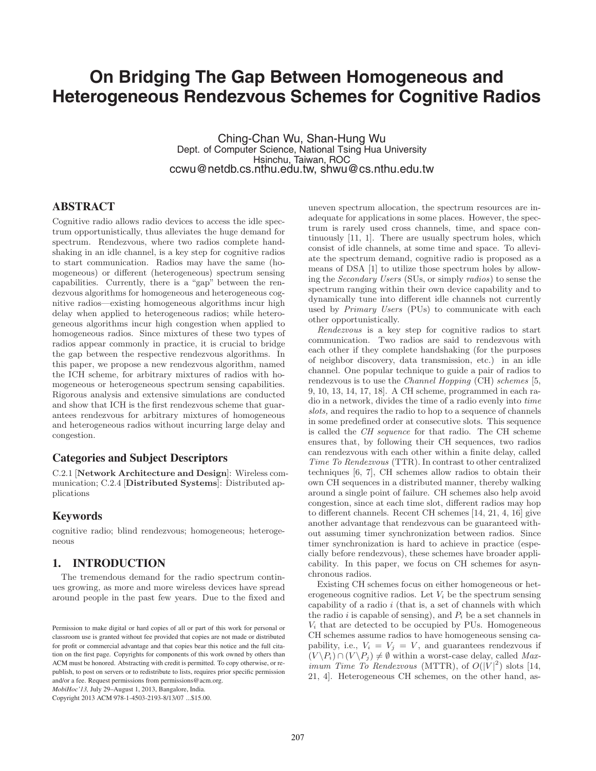# **On Bridging The Gap Between Homogeneous and Heterogeneous Rendezvous Schemes for Cognitive Radios**

Ching-Chan Wu, Shan-Hung Wu Dept. of Computer Science, National Tsing Hua University Hsinchu, Taiwan, ROC ccwu@netdb.cs.nthu.edu.tw, shwu@cs.nthu.edu.tw

# **ABSTRACT**

Cognitive radio allows radio devices to access the idle spectrum opportunistically, thus alleviates the huge demand for spectrum. Rendezvous, where two radios complete handshaking in an idle channel, is a key step for cognitive radios to start communication. Radios may have the same (homogeneous) or different (heterogeneous) spectrum sensing capabilities. Currently, there is a "gap" between the rendezvous algorithms for homogeneous and heterogeneous cognitive radios—existing homogeneous algorithms incur high delay when applied to heterogeneous radios; while heterogeneous algorithms incur high congestion when applied to homogeneous radios. Since mixtures of these two types of radios appear commonly in practice, it is crucial to bridge the gap between the respective rendezvous algorithms. In this paper, we propose a new rendezvous algorithm, named the ICH scheme, for arbitrary mixtures of radios with homogeneous or heterogeneous spectrum sensing capabilities. Rigorous analysis and extensive simulations are conducted and show that ICH is the first rendezvous scheme that guarantees rendezvous for arbitrary mixtures of homogeneous and heterogeneous radios without incurring large delay and congestion.

## **Categories and Subject Descriptors**

C.2.1 [**Network Architecture and Design**]: Wireless communication; C.2.4 [**Distributed Systems**]: Distributed applications

#### **Keywords**

cognitive radio; blind rendezvous; homogeneous; heterogeneous

## **1. INTRODUCTION**

The tremendous demand for the radio spectrum continues growing, as more and more wireless devices have spread around people in the past few years. Due to the fixed and

Copyright 2013 ACM 978-1-4503-2193-8/13/07 ...\$15.00.

uneven spectrum allocation, the spectrum resources are inadequate for applications in some places. However, the spectrum is rarely used cross channels, time, and space continuously [11, 1]. There are usually spectrum holes, which consist of idle channels, at some time and space. To alleviate the spectrum demand, cognitive radio is proposed as a means of DSA [1] to utilize those spectrum holes by allowing the *Secondary Users* (SUs, or simply *radios*) to sense the spectrum ranging within their own device capability and to dynamically tune into different idle channels not currently used by *Primary Users* (PUs) to communicate with each other opportunistically.

*Rendezvous* is a key step for cognitive radios to start communication. Two radios are said to rendezvous with each other if they complete handshaking (for the purposes of neighbor discovery, data transmission, etc.) in an idle channel. One popular technique to guide a pair of radios to rendezvous is to use the *Channel Hopping* (CH) *schemes* [5, 9, 10, 13, 14, 17, 18]. A CH scheme, programmed in each radio in a network, divides the time of a radio evenly into *time slots,* and requires the radio to hop to a sequence of channels in some predefined order at consecutive slots. This sequence is called the *CH sequence* for that radio. The CH scheme ensures that, by following their CH sequences, two radios can rendezvous with each other within a finite delay, called *Time To Rendezvous* (TTR). In contrast to other centralized techniques [6, 7], CH schemes allow radios to obtain their own CH sequences in a distributed manner, thereby walking around a single point of failure. CH schemes also help avoid congestion, since at each time slot, different radios may hop to different channels. Recent CH schemes [14, 21, 4, 16] give another advantage that rendezvous can be guaranteed without assuming timer synchronization between radios. Since timer synchronization is hard to achieve in practice (especially before rendezvous), these schemes have broader applicability. In this paper, we focus on CH schemes for asynchronous radios.

Existing CH schemes focus on either homogeneous or heterogeneous cognitive radios. Let V*<sup>i</sup>* be the spectrum sensing capability of a radio  $i$  (that is, a set of channels with which the radio  $i$  is capable of sensing), and  $P_i$  be a set channels in  $V_i$  that are detected to be occupied by PUs. Homogeneous CH schemes assume radios to have homogeneous sensing capability, i.e.,  $V_i = V_j = V$ , and guarantees rendezvous if  $(V \backslash P_i) ∩ (V \backslash P_j) \neq \emptyset$  within a worst-case delay, called *Max*- $\lim_{m \to \infty}$  *Time To Rendezvous* (MTTR), of  $O(|V|^2)$  slots [14, 21, 4]. Heterogeneous CH schemes, on the other hand, as-

Permission to make digital or hard copies of all or part of this work for personal or classroom use is granted without fee provided that copies are not made or distributed for profit or commercial advantage and that copies bear this notice and the full citation on the first page. Copyrights for components of this work owned by others than ACM must be honored. Abstracting with credit is permitted. To copy otherwise, or republish, to post on servers or to redistribute to lists, requires prior specific permission and/or a fee. Request permissions from permissions@acm.org.

*MobiHoc'13,* July 29–August 1, 2013, Bangalore, India.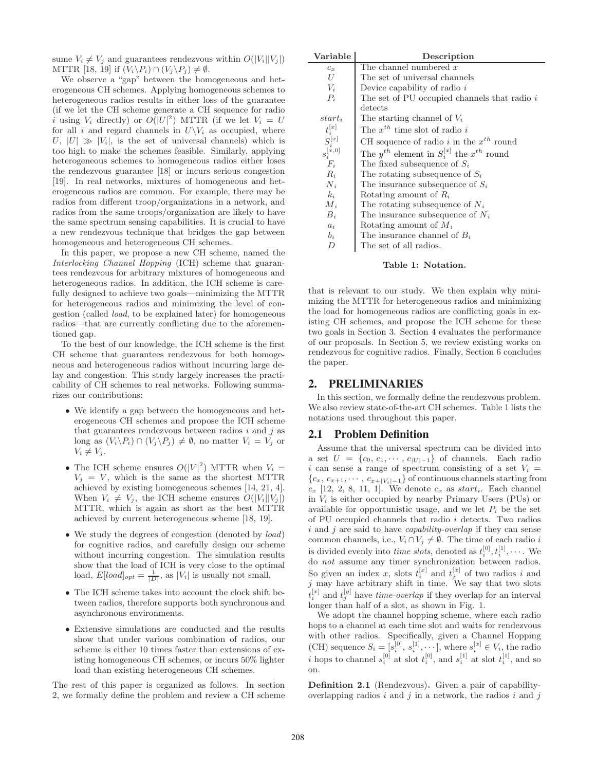sume  $V_i \neq V_j$  and guarantees rendezvous within  $O(|V_i||V_j|)$ MTTR [18, 19] if  $(V_i \backslash P_i) \cap (V_j \backslash P_j) \neq \emptyset$ .

We observe a "gap" between the homogeneous and heterogeneous CH schemes. Applying homogeneous schemes to heterogeneous radios results in either loss of the guarantee (if we let the CH scheme generate a CH sequence for radio i using  $V_i$  directly) or  $O(|U|^2)$  MTTR (if we let  $V_i = U$ for all i and regard channels in  $U\setminus V_i$  as occupied, where  $U, |U| \gg |V_i|$ , is the set of universal channels) which is too high to make the schemes feasible. Similarly, applying heterogeneous schemes to homogeneous radios either loses the rendezvous guarantee [18] or incurs serious congestion [19]. In real networks, mixtures of homogeneous and heterogeneous radios are common. For example, there may be radios from different troop/organizations in a network, and radios from the same troops/organization are likely to have the same spectrum sensing capabilities. It is crucial to have a new rendezvous technique that bridges the gap between homogeneous and heterogeneous CH schemes.

In this paper, we propose a new CH scheme, named the *Interlocking Channel Hopping* (ICH) scheme that guarantees rendezvous for arbitrary mixtures of homogeneous and heterogeneous radios. In addition, the ICH scheme is carefully designed to achieve two goals—minimizing the MTTR for heterogeneous radios and minimizing the level of congestion (called *load*, to be explained later) for homogeneous radios—that are currently conflicting due to the aforementioned gap.

To the best of our knowledge, the ICH scheme is the first CH scheme that guarantees rendezvous for both homogeneous and heterogeneous radios without incurring large delay and congestion. This study largely increases the practicability of CH schemes to real networks. Following summarizes our contributions:

- We identify a gap between the homogeneous and heterogeneous CH schemes and propose the ICH scheme that guarantees rendezvous between radios  $i$  and  $j$  as long as  $(V_i \backslash P_i) \cap (V_j \backslash P_j) \neq \emptyset$ , no matter  $V_i = V_j$  or  $V_i \neq V_j$ .
- The ICH scheme ensures  $O(|V|^2)$  MTTR when  $V_i =$  $V_i = V$ , which is the same as the shortest MTTR achieved by existing homogeneous schemes [14, 21, 4]. When  $V_i \neq V_j$ , the ICH scheme ensures  $O(|V_i||V_j|)$ MTTR, which is again as short as the best MTTR achieved by current heterogeneous scheme [18, 19].
- We study the degrees of congestion (denoted by *load*) for cognitive radios, and carefully design our scheme without incurring congestion. The simulation results show that the load of ICH is very close to the optimal load,  $E[load]_{opt} = \frac{1}{|D|}$ , as  $|V_i|$  is usually not small.
- The ICH scheme takes into account the clock shift between radios, therefore supports both synchronous and asynchronous environments.
- Extensive simulations are conducted and the results show that under various combination of radios, our scheme is either 10 times faster than extensions of existing homogeneous CH schemes, or incurs 50% lighter load than existing heterogeneous CH schemes.

The rest of this paper is organized as follows. In section 2, we formally define the problem and review a CH scheme

| Variable                                              | Description                                            |  |  |  |  |  |  |  |  |
|-------------------------------------------------------|--------------------------------------------------------|--|--|--|--|--|--|--|--|
| $c_x$                                                 | The channel numbered $x$                               |  |  |  |  |  |  |  |  |
| U                                                     | The set of universal channels                          |  |  |  |  |  |  |  |  |
| $V_i$                                                 | Device capability of radio $i$                         |  |  |  |  |  |  |  |  |
| $P_i$                                                 | The set of PU occupied channels that radio i           |  |  |  |  |  |  |  |  |
|                                                       | detects                                                |  |  |  |  |  |  |  |  |
| $start_i$                                             | The starting channel of $V_i$                          |  |  |  |  |  |  |  |  |
| $\begin{array}{c} t_i^{[x]} \\ S_i^{[x]} \end{array}$ | The $x^{th}$ time slot of radio i                      |  |  |  |  |  |  |  |  |
|                                                       | CH sequence of radio i in the $x^{th}$ round           |  |  |  |  |  |  |  |  |
| $s_i^{[x,0]}$                                         | The $y^{th}$ element in $S_i^{[x]}$ the $x^{th}$ round |  |  |  |  |  |  |  |  |
| $F_i$                                                 | The fixed subsequence of $S_i$                         |  |  |  |  |  |  |  |  |
| $R_i$                                                 | The rotating subsequence of $S_i$                      |  |  |  |  |  |  |  |  |
| $N_i$                                                 | The insurance subsequence of $S_i$                     |  |  |  |  |  |  |  |  |
| $k_i$                                                 | Rotating amount of $R_i$                               |  |  |  |  |  |  |  |  |
| $M_i$                                                 | The rotating subsequence of $N_i$                      |  |  |  |  |  |  |  |  |
| $B_i$                                                 | The insurance subsequence of $N_i$                     |  |  |  |  |  |  |  |  |
| $a_i$                                                 | Rotating amount of $M_i$                               |  |  |  |  |  |  |  |  |
| $b_i$                                                 | The insurance channel of $B_i$                         |  |  |  |  |  |  |  |  |
| D                                                     | The set of all radios.                                 |  |  |  |  |  |  |  |  |

**Table 1: Notation.**

that is relevant to our study. We then explain why minimizing the MTTR for heterogeneous radios and minimizing the load for homogeneous radios are conflicting goals in existing CH schemes, and propose the ICH scheme for these two goals in Section 3. Section 4 evaluates the performance of our proposals. In Section 5, we review existing works on rendezvous for cognitive radios. Finally, Section 6 concludes the paper.

#### **2. PRELIMINARIES**

In this section, we formally define the rendezvous problem. We also review state-of-the-art CH schemes. Table 1 lists the notations used throughout this paper.

## **2.1 Problem Definition**

Assume that the universal spectrum can be divided into a set  $U = \{c_0, c_1, \dots, c_{|U|-1}\}\$  of channels. Each radio i can sense a range of spectrum consisting of a set  $V_i$  =  ${c_x, c_{x+1}, \cdots, c_{x+|V_i|-1}}$  of continuous channels starting from  $c_x$  [12, 2, 8, 11, 1]. We denote  $c_x$  as  $start_i$ . Each channel in V*<sup>i</sup>* is either occupied by nearby Primary Users (PUs) or available for opportunistic usage, and we let  $P_i$  be the set of PU occupied channels that radio i detects. Two radios i and j are said to have *capability-overlap* if they can sense common channels, i.e.,  $V_i \cap V_j \neq \emptyset$ . The time of each radio *i* is divided evenly into *time slots*, denoted as  $t_i^{[0]}, t_i^{[1]}, \cdots$ . We do *not* assume any timer synchronization between radios. So given an index x, slots  $t_i^{[x]}$  and  $t_j^{[x]}$  of two radios i and j may have arbitrary shift in time. We say that two slots  $t_i^{[x]}$  and  $t_j^{[y]}$  have *time-overlap* if they overlap for an interval longer than half of a slot, as shown in Fig. 1.

We adopt the channel hopping scheme, where each radio hops to a channel at each time slot and waits for rendezvous with other radios. Specifically, given a Channel Hopping (CH) sequence  $S_i = [s_i^{[0]}, s_i^{[1]}, \dots],$  where  $s_i^{[x]} \in V_i$ , the radio *i* hops to channel  $s_i^{[0]}$  at slot  $t_i^{[0]}$ , and  $s_i^{[1]}$  at slot  $t_i^{[1]}$ , and so on.

**Definition 2.1** (Rendezvous)**.** Given a pair of capabilityoverlapping radios  $i$  and  $j$  in a network, the radios  $i$  and  $j$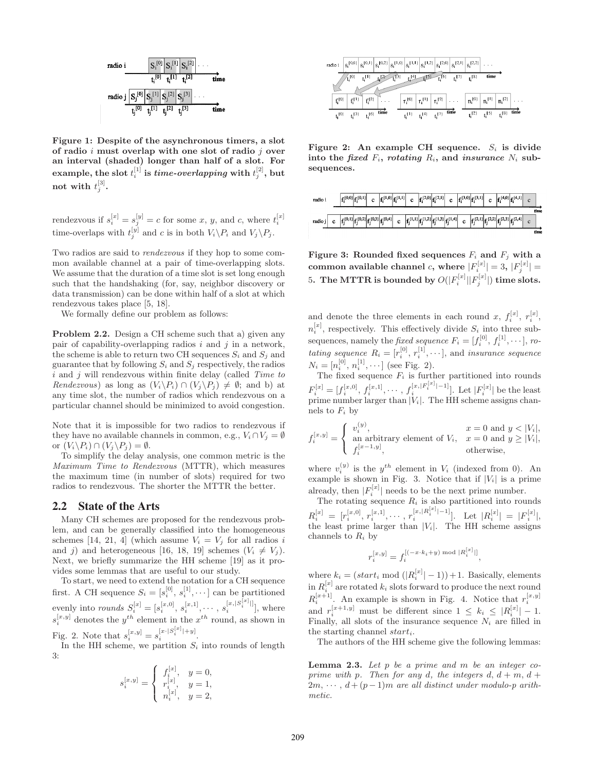

**Figure 1: Despite of the asynchronous timers, a slot of radio** i **must overlap with one slot of radio** j **over an interval (shaded) longer than half of a slot. For**  $\boldsymbol{\epsilon}$  example, the slot  $t_i^{[1]}$  is  $\boldsymbol{time\text{-}overlapping}$  with  $t_j^{[2]},$  but not with  $t_j^{[3]}$ .

rendezvous if  $s_i^{[x]} = s_j^{[y]} = c$  for some x, y, and c, where  $t_i^{[x]}$  time-overlaps with  $t_j^{[y]}$  and c is in both  $V_i \backslash P_i$  and  $V_j \backslash P_j$ .

Two radios are said to *rendezvous* if they hop to some common available channel at a pair of time-overlapping slots. We assume that the duration of a time slot is set long enough such that the handshaking (for, say, neighbor discovery or data transmission) can be done within half of a slot at which rendezvous takes place [5, 18].

We formally define our problem as follows:

**Problem 2.2.** Design a CH scheme such that a) given any pair of capability-overlapping radios  $i$  and  $j$  in a network. the scheme is able to return two CH sequences  $S_i$  and  $S_j$  and guarantee that by following  $S_i$  and  $S_j$  respectively, the radios i and j will rendezvous within finite delay (called *Time to Rendezvous*) as long as  $(V_i \backslash P_i) \cap (V_j \backslash P_j) \neq \emptyset$ ; and b) at any time slot, the number of radios which rendezvous on a particular channel should be minimized to avoid congestion.

Note that it is impossible for two radios to rendezvous if they have no available channels in common, e.g.,  $V_i \cap V_j = \emptyset$ or  $(V_i \backslash P_i) \cap (V_i \backslash P_j) = \emptyset$ .

To simplify the delay analysis, one common metric is the *Maximum Time to Rendezvous* (MTTR), which measures the maximum time (in number of slots) required for two radios to rendezvous. The shorter the MTTR the better.

## **2.2 State of the Arts**

Many CH schemes are proposed for the rendezvous problem, and can be generally classified into the homogeneous schemes [14, 21, 4] (which assume  $V_i = V_j$  for all radios i and j) and heterogeneous [16, 18, 19] schemes  $(V_i \neq V_j)$ . Next, we briefly summarize the HH scheme [19] as it provides some lemmas that are useful to our study.

To start, we need to extend the notation for a CH sequence first. A CH sequence  $S_i = [s_i^{[0]}, s_i^{[1]}, \cdots]$  can be partitioned evenly into *rounds*  $S_i^{[x]} = [s_i^{[x,0]}, s_i^{[x,1]}, \cdots, s_i^{[x,|S_i^{[x]}|]}],$  where  $s_i^{[x,y]}$  denotes the  $y^{th}$  element in the  $x^{th}$  round, as shown in Fig. 2. Note that  $s_i^{[x,y]} = s_i^{[x \cdot |S_i^{[x]}|+y]}$ .

In the HH scheme, we partition  $S_i$  into rounds of length 3:

$$
s_i^{[x,y]} = \left\{ \begin{array}{ll} f_i^{[x]}, & y = 0, \\ r_i^{[x]}, & y = 1, \\ n_i^{[x]}, & y = 2, \end{array} \right.
$$



**Figure 2: An example CH sequence.** S*<sup>i</sup>* **is divide** into the *fixed*  $F_i$ , *rotating*  $R_i$ , and *insurance*  $N_i$  sub**sequences.**



**Figure 3:** Rounded fixed sequences  $F_i$  and  $F_j$  with a  $\textbf{common available channel}$  c, where  $|F_i^{[x]}| = 3$ ,  $|F_j^{[x]}| = 3$  $5. \textbf{ The MTTR is bounded by } O(|F_i^{[x]}||F_j^{[x]}|) \textbf{ time slots.}$ 

and denote the three elements in each round x,  $f_i^{[x]}$ ,  $r_i^{[x]}$ ,  $n_i^{[x]}$ , respectively. This effectively divide  $S_i$  into three subsequences, namely the *fixed sequence*  $F_i = [f_i^{[0]}, f_i^{[1]}, \cdots],$  *rotating sequence*  $R_i = [r_i^{[0]}, r_i^{[1]}, \cdots]$ , and *insurance sequence*  $N_i = [n_i^{[0]}, n_i^{[1]}, \cdots]$  (see Fig. 2).

The fixed sequence  $F_i$  is further partitioned into rounds  $F_i^{[x]} = [f_i^{[x,0]}, f_i^{[x,1]}, \cdots, f_i^{[x,|F_i^{[x]}|-1]}].$  Let  $|F_i^{[x]}|$  be the least prime number larger than  $|V_i|$ . The HH scheme assigns channels to F*<sup>i</sup>* by

$$
f_i^{[x,y]} = \begin{cases} v_i^{(y)}, & x = 0 \text{ and } y < |V_i|, \\ \text{ an arbitrary element of } V_i, & x = 0 \text{ and } y \ge |V_i|, \\ f_i^{[x-1,y]}, & \text{otherwise,} \end{cases}
$$

where  $v_i^{(y)}$  is the  $y^{th}$  element in  $V_i$  (indexed from 0). An example is shown in Fig. 3. Notice that if  $|V_i|$  is a prime already, then  $|F_i^{[x]}|$  needs to be the next prime number.

The rotating sequence  $R_i$  is also partitioned into rounds  $R_i^{[x]} = [r_i^{[x,0]}, r_i^{[x,1]}, \cdots, r_i^{[x,|R_i^{[x]}|-1]}].$  Let  $|R_i^{[x]}| = |F_i^{[x]}|,$ the least prime larger than  $|V_i|$ . The HH scheme assigns channels to R*<sup>i</sup>* by

$$
r_i^{[x,y]}=f_i^{[(-x\cdot k_i+y)\bmod |R_i^{[x]}|]},
$$

where  $k_i = (start_i \mod (|R_i^{[x]}|-1)) + 1$ . Basically, elements in  $R_i^{[x]}$  are rotated  $k_i$  slots forward to produce the next round  $R_i^{[x+1]}$ . An example is shown in Fig. 4. Notice that  $r_i^{[x,y]}$ and  $r_i^{[x+1,y]}$  must be different since  $1 \leq k_i \leq |R_i^{[x]}| - 1$ . Finally, all slots of the insurance sequence  $N_i$  are filled in the starting channel start*i*.

The authors of the HH scheme give the following lemmas:

**Lemma 2.3.** *Let* p *be a prime and* m *be an integer coprime with* p. Then for any d, the integers  $d, d + m, d +$  $2m, \cdots, d+(p-1)m$  are all distinct under modulo-p arith*metic.*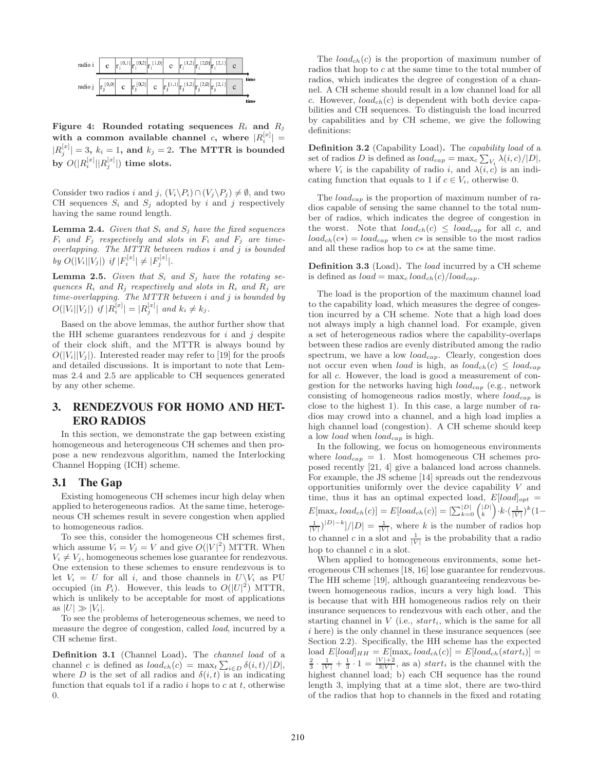

**Figure 4:** Rounded rotating sequences  $R_i$  and  $R_j$ with a common available channel *c*, where  $|R_i^{[x]}|$  =  $|R_j^{[x]}| = 3$ ,  $k_i = 1$ , and  $k_j = 2$ . The MTTR is bounded  $\mathbf{b}$ **y**  $O(|R_i^{[x]}||R_j^{[x]}|)$  time slots.

Consider two radios i and j,  $(V_i \backslash P_i) \cap (V_j \backslash P_j) \neq \emptyset$ , and two CH sequences  $S_i$  and  $S_j$  adopted by i and j respectively having the same round length.

**Lemma 2.4.** *Given that*  $S_i$  *and*  $S_j$  *have the fixed sequences*  $F_i$  *and*  $F_j$  *respectively and slots in*  $F_i$  *and*  $F_j$  *are timeoverlapping. The MTTR between radios* i *and* j *is bounded by*  $O(|V_i||V_j|)$  *if*  $|F_i^{[x]}| \neq |F_j^{[x]}|$ .

**Lemma 2.5.** *Given that*  $S_i$  *and*  $S_j$  *have the rotating sequences*  $R_i$  *and*  $R_j$  *respectively and slots in*  $R_i$  *and*  $R_j$  *are time-overlapping. The MTTR between* i *and* j *is bounded by*  $O(|V_i||V_j|)$  if  $|R_i^{[x]}| = |R_j^{[x]}|$  and  $k_i \neq k_j$ .

Based on the above lemmas, the author further show that the HH scheme guarantees rendezvous for  $i$  and  $j$  despite of their clock shift, and the MTTR is always bound by  $O(|V_i||V_j|)$ . Interested reader may refer to [19] for the proofs and detailed discussions. It is important to note that Lemmas 2.4 and 2.5 are applicable to CH sequences generated by any other scheme.

# **3. RENDEZVOUS FOR HOMO AND HET-ERO RADIOS**

In this section, we demonstrate the gap between existing homogeneous and heterogeneous CH schemes and then propose a new rendezvous algorithm, named the Interlocking Channel Hopping (ICH) scheme.

## **3.1 The Gap**

Existing homogeneous CH schemes incur high delay when applied to heterogeneous radios. At the same time, heterogeneous CH schemes result in severe congestion when applied to homogeneous radios.

To see this, consider the homogeneous CH schemes first, which assume  $V_i = V_j = V$  and give  $O(|V|^2)$  MTTR. When  $V_i \neq V_j$ , homogeneous schemes lose guarantee for rendezvous. One extension to these schemes to ensure rendezvous is to let  $V_i = U$  for all i, and those channels in  $U\setminus V_i$  as PU occupied (in  $P_i$ ). However, this leads to  $O(|U|^2)$  MTTR, which is unlikely to be acceptable for most of applications as  $|U| \gg |V_i|$ .

To see the problems of heterogeneous schemes, we need to measure the degree of congestion, called *load*, incurred by a CH scheme first.

**Definition 3.1** (Channel Load)**.** The *channel load* of a channel c is defined as  $load_{ch}(c) = \max_{i \in D} \delta(i, t)/|D|$ , where D is the set of all radios and  $\delta(i, t)$  is an indicating function that equals to1 if a radio  $i$  hops to  $c$  at  $t$ , otherwise 0.

The load*ch*(c) is the proportion of maximum number of radios that hop to c at the same time to the total number of radios, which indicates the degree of congestion of a channel. A CH scheme should result in a low channel load for all c. However,  $load_{ch}(c)$  is dependent with both device capabilities and CH sequences. To distinguish the load incurred by capabilities and by CH scheme, we give the following definitions:

**Definition 3.2** (Capability Load)**.** The *capability load* of a set of radios *D* is defined as  $load_{cap} = \max_{c} \sum_{V_i} \lambda(i, c)/|D|$ , where  $V_i$  is the capability of radio i, and  $\lambda(i, c)$  is an indicating function that equals to 1 if  $c \in V_i$ , otherwise 0.

The load*cap* is the proportion of maximum number of radios capable of sensing the same channel to the total number of radios, which indicates the degree of congestion in the worst. Note that  $load_{ch}(c) \leq load_{cap}$  for all c, and  $load_{ch}(c*) = load_{cap}$  when  $c*$  is sensible to the most radios and all these radios hop to  $c*$  at the same time.

**Definition 3.3** (Load)**.** The *load* incurred by a CH scheme is defined as  $load = \max_c load_{ch}(c)/load_{cap}$ .

The load is the proportion of the maximum channel load to the capability load, which measures the degree of congestion incurred by a CH scheme. Note that a high load does not always imply a high channel load. For example, given a set of heterogeneous radios where the capability-overlaps between these radios are evenly distributed among the radio spectrum, we have a low load*cap*. Clearly, congestion does not occur even when *load* is high, as  $load_{ch}(c) \leq load_{cap}$ for all c. However, the load is good a measurement of congestion for the networks having high load*cap* (e.g., network consisting of homogeneous radios mostly, where load*cap* is close to the highest 1). In this case, a large number of radios may crowd into a channel, and a high load implies a high channel load (congestion). A CH scheme should keep a low load when load*cap* is high.

In the following, we focus on homogeneous environments where  $load_{cap} = 1$ . Most homogeneous CH schemes proposed recently [21, 4] give a balanced load across channels. For example, the JS scheme [14] spreads out the rendezvous opportunities uniformly over the device capability V and time, thus it has an optimal expected load,  $E[load]_{opt}$  =  $E[\max_c load_{ch}(c)] = E[load_{ch}(c)] = [\sum_{k=0}^{|D|} {|\nu| \choose k} \cdot k \cdot (\frac{1}{|V|})^k (1 \frac{1}{|V|}$ )<sup>|D|−k</sup>]/|D| =  $\frac{1}{|V|}$ , where k is the number of radios hop to channel c in a slot and  $\frac{1}{|V|}$  is the probability that a radio hop to channel c in a slot.

When applied to homogeneous environments, some heterogeneous CH schemes [18, 16] lose guarantee for rendezvous. The HH scheme [19], although guaranteeing rendezvous between homogeneous radios, incurs a very high load. This is because that with HH homogeneous radios rely on their insurance sequences to rendezvous with each other, and the starting channel in V (i.e., start*i*, which is the same for all i here) is the only channel in these insurance sequences (see Section 2.2). Specifically, the HH scheme has the expected load  $E[load]_{HH} = E[\max_{c}load_{ch}(c)] = E[load_{ch}(start_{i})] = \frac{2}{3} \cdot \frac{1}{|V|} + \frac{1}{3} \cdot 1 = \frac{|V|+2}{3|V|}$ , as a) *start<sub>i</sub>* is the channel with the highest channel load; b) each CH sequence has the round length 3, implying that at a time slot, there are two-third of the radios that hop to channels in the fixed and rotating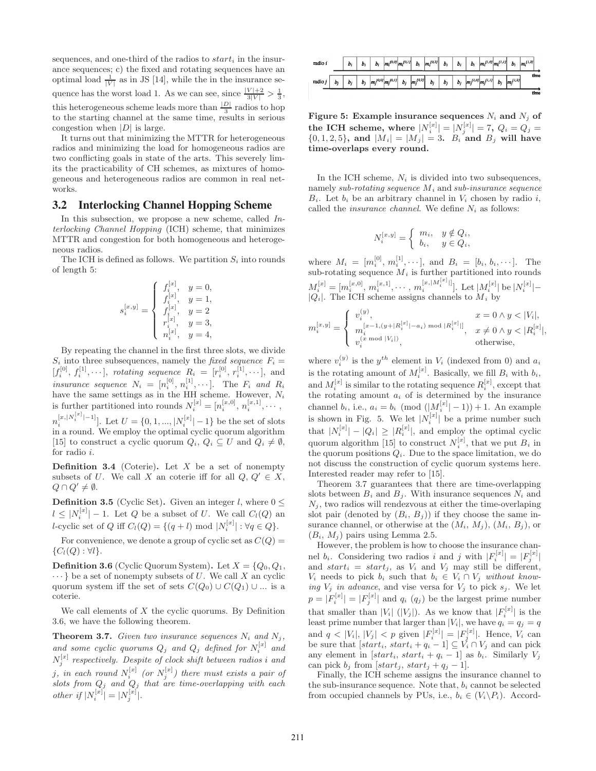sequences, and one-third of the radios to start*<sup>i</sup>* in the insurance sequences; c) the fixed and rotating sequences have an optimal load  $\frac{1}{|V|}$  as in JS [14], while the in the insurance sequence has the worst load 1. As we can see, since  $\frac{|V|+2}{3|V|} > \frac{1}{3}$ , this heterogeneous scheme leads more than  $\frac{|D|}{3}$  radios to hop to the starting channel at the same time, results in serious congestion when  $|D|$  is large.

It turns out that minimizing the MTTR for heterogeneous radios and minimizing the load for homogeneous radios are two conflicting goals in state of the arts. This severely limits the practicability of CH schemes, as mixtures of homogeneous and heterogeneous radios are common in real networks.

#### **3.2 Interlocking Channel Hopping Scheme**

In this subsection, we propose a new scheme, called *Interlocking Channel Hopping* (ICH) scheme, that minimizes MTTR and congestion for both homogeneous and heterogeneous radios.

The ICH is defined as follows. We partition  $S_i$  into rounds of length 5:

$$
s_i^{[x,y]} = \left\{ \begin{array}{ll} f_i^{[x]}, & y = 0, \\ f_i^{[x]}, & y = 1, \\ f_i^{[x]}, & y = 2 \\ r_i^{[x]}, & y = 3, \\ r_i^{[x]}, & y = 3, \\ n_i^{[x]}, & y = 4, \end{array} \right.
$$

By repeating the channel in the first three slots, we divide  $S_i$  into three subsequences, namely the *fixed sequence*  $F_i =$  $[f_i^{[0]}, f_i^{[1]}, \cdots],$  *rotating sequence*  $R_i = [r_i^{[0]}, r_i^{[1]}, \cdots],$  and *insurance sequence*  $N_i = [n_i^{[0]}, n_i^{[1]}, \cdots]$ . The  $F_i$  and  $R_i$ have the same settings as in the HH scheme. However, N*<sup>i</sup>* is further partitioned into rounds  $N_i^{[x]} = [n_i^{[x,0]}, n_i^{[x,1]}, \cdots,$  $n_i^{[x,|N_i^{[x]}|-1]}$ . Let  $U = \{0, 1, ..., |N_i^{[x]}|-1\}$  be the set of slots in a round. We employ the optimal cyclic quorum algorithm [15] to construct a cyclic quorum  $Q_i$ ,  $Q_i \subseteq U$  and  $Q_i \neq \emptyset$ , for radio i.

**Definition 3.4** (Coterie)**.** Let X be a set of nonempty subsets of U. We call X an coterie iff for all  $Q, Q' \in X$ ,  $Q \cap Q' \neq \emptyset$ .

**Definition 3.5** (Cyclic Set). Given an integer l, where  $0 \leq$  $l \leq |N_i^{[x]}| - 1$ . Let Q be a subset of U. We call  $C_l(Q)$  and l-cyclic set of Q iff  $C_l(Q) = \{(q + l) \text{ mod } |N_i^{[x]}| : \forall q \in Q\}.$ 

For convenience, we denote a group of cyclic set as  $C(Q)$  =  $\{C_l(Q): \forall l\}.$ 

**Definition 3.6** (Cyclic Quorum System). Let  $X = \{Q_0, Q_1,$  $\cdots$ } be a set of nonempty subsets of U. We call X an cyclic quorum system iff the set of sets  $C(Q_0) \cup C(Q_1) \cup ...$  is a coterie.

We call elements of  $X$  the cyclic quorums. By Definition 3.6, we have the following theorem.

**Theorem 3.7.** *Given two insurance sequences*  $N_i$  *and*  $N_j$ *,* and some cyclic quorums  $Q_j$  and  $Q_j$  defined for  $N_i^{[x]}$  and  $N_j^{[x]}$  respectively. Despite of clock shift between radios i and  $j$ , in each round  $N_i^{[x]}$  (or  $N_j^{[x]}$ ) there must exists a pair of *slots from* Q*<sup>j</sup> and* Q*<sup>j</sup> that are time-overlapping with each other if*  $|N_i^{[x]}| = |N_j^{[x]}|$ .

| radio       | ь |    | v, | $ m_i^{[0,0]} m_i^{[0,1]} $ |                  | $b_i$       | $m^{[0.2]}$ |    |    | $b_i$ | $ m_i^{[1,0]} m_i^{[1,1]} $ |              | . 11.27 |              |
|-------------|---|----|----|-----------------------------|------------------|-------------|-------------|----|----|-------|-----------------------------|--------------|---------|--------------|
| radio<br>D, |   | b, |    | $ m^{[0,0]} m^{[0,1]} $     | $\boldsymbol{b}$ | $n^{[0,2]}$ | b,          | ь, | b, |       | $ m_1^{[1,0]} m_1^{[1,1]} $ | $ m^{[1,2]}$ |         | time<br>time |

**Figure 5:** Example insurance sequences  $N_i$  and  $N_j$  of  $\textbf{ICH} \textbf{ scheme, where } |N_i^{[x]}| = |N_j^{[x]}| = 7, \ Q_i = Q_j = 0$  $\{0, 1, 2, 5\}$ , and  $|M_i| = |M_j| = 3$ .  $B_i$  and  $B_j$  will have **time-overlaps every round.**

In the ICH scheme,  $N_i$  is divided into two subsequences, namely *sub-rotating sequence* M*<sup>i</sup>* and *sub-insurance sequence*  $B_i$ . Let  $b_i$  be an arbitrary channel in  $V_i$  chosen by radio  $i$ , called the *insurance channel*. We define  $N_i$  as follows:

$$
N_i^{[x,y]}=\left\{\begin{array}{ll}m_i,&y\notin Q_i,\\ b_i,&y\in Q_i,\end{array}\right.
$$

where  $M_i = [m_i^{[0]}, m_i^{[1]}, \cdots],$  and  $B_i = [b_i, b_i, \cdots].$  The sub-rotating sequence  $M_i$  is further partitioned into rounds  $M_i^{[x]} = [m_i^{[x,0]}, m_i^{[x,1]}, \cdots, m_i^{[x,|M_i^{[x]}|]}].$  Let  $|M_i^{[x]}|$  be  $|N_i^{[x]}|$  - $|Q_i|$ . The ICH scheme assigns channels to  $M_i$ <sup>*i*</sup> by

$$
m_i^{[x,y]} = \begin{cases} v_i^{(y)}, & x = 0 \wedge y < |V_i|, \\ m_i^{[x-1,(y+|R_i^{[x]}|-a_i) \bmod |R_i^{[x]}|]}, & x \neq 0 \wedge y < |R_i^{[x]}|, \\ v_i^{(x \bmod |V_i|)}, & \text{otherwise}, \end{cases}
$$

where  $v_i^{(y)}$  is the  $y^{th}$  element in  $V_i$  (indexed from 0) and  $a_i$ is the rotating amount of  $M_i^{[x]}$ . Basically, we fill  $B_i$  with  $b_i$ , and  $M_i^{[x]}$  is similar to the rotating sequence  $R_i^{[x]}$ , except that the rotating amount a*<sup>i</sup>* of is determined by the insurance channel  $b_i$ , i.e.,  $a_i = b_i \pmod{(|M_i^{[x]}| - 1)} + 1$ . An example is shown in Fig. 5. We let  $|N_i^{[x]}|$  be a prime number such that  $|N_i^{[x]}| - |Q_i| \geq |R_i^{[x]}|$ , and employ the optimal cyclic quorum algorithm [15] to construct  $N_i^{[x]}$ , that we put  $B_i$  in the quorum positions  $Q_i$ . Due to the space limitation, we do not discuss the construction of cyclic quorum systems here. Interested reader may refer to [15].

Theorem 3.7 guarantees that there are time-overlapping slots between  $B_i$  and  $B_j$ . With insurance sequences  $N_i$  and  $N_i$ , two radios will rendezvous at either the time-overlaping slot pair (denoted by  $(B_i, B_j)$ ) if they choose the same insurance channel, or otherwise at the  $(M_i, M_j)$ ,  $(M_i, B_j)$ , or  $(B_i, M_j)$  pairs using Lemma 2.5.

However, the problem is how to choose the insurance channel  $b_i$ . Considering two radios i and j with  $|F_i^{[x]}| = |F_j^{[x]}|$ and  $start_i = start_j$ , as  $V_i$  and  $V_j$  may still be different,  $V_i$  needs to pick  $b_i$  such that  $b_i \in V_i \cap V_j$  *without knowing*  $V_j$  *in advance*, and vise versa for  $V_j$  to pick  $s_j$ . We let  $p = |F_i^{[x]}| = |F_j^{[x]}|$  and  $q_i$  ( $q_j$ ) be the largest prime number that smaller than  $|V_i|$  ( $|V_j|$ ). As we know that  $|F_i^{[x]}|$  is the least prime number that larger than  $|V_i|$ , we have  $q_i = q_j = q$ and  $q < |V_i|, |V_j| < p$  given  $|F_i^{[x]}| = |F_j^{[x]}|$ . Hence,  $V_i$  can be sure that  $[start_i, start_i + q_i - 1] \subseteq V_i \cap V_j$  and can pick any element in  $[start_i, start_i + q_i - 1]$  as  $b_i$ . Similarly  $V_j$ can pick  $b_j$  from [start<sub>i</sub>, start<sub>i</sub> +  $q_j$  – 1].

Finally, the ICH scheme assigns the insurance channel to the sub-insurance sequence. Note that, b*<sup>i</sup>* cannot be selected from occupied channels by PUs, i.e.,  $b_i \in (V_i \backslash P_i)$ . Accord-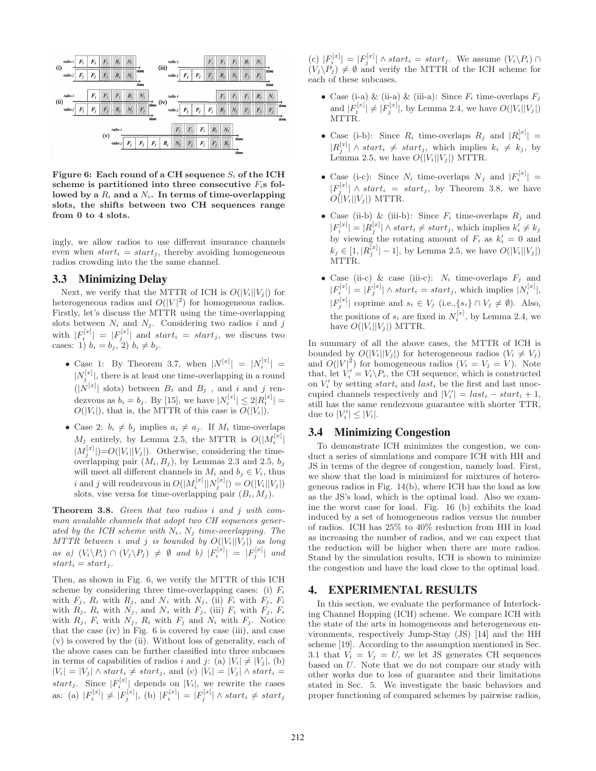

**Figure 6: Each round of a CH sequence** S*<sup>i</sup>* **of the ICH scheme is partitioned into three consecutive** F*i***s fol**lowed by a  $R_i$  and a  $N_i$ . In terms of time-overlapping **slots, the shifts between two CH sequences range from 0 to 4 slots.**

ingly, we allow radios to use different insurance channels even when  $start_i = start_j$ , thereby avoiding homogeneous radios crowding into the the same channel.

#### **3.3 Minimizing Delay**

Next, we verify that the MTTR of ICH is  $O(|V_i||V_j|)$  for heterogeneous radios and  $O(|V|^2)$  for homogeneous radios. Firstly, let's discuss the MTTR using the time-overlapping slots between  $N_i$  and  $N_j$ . Considering two radios i and j with  $|F_i^{[x]}| = |F_j^{[x]}|$  and  $start_i = start_j$ , we discuss two cases: 1)  $b_i = b_j$ , 2)  $b_i \neq b_j$ .

- Case 1: By Theorem 3.7, when  $|N^{[x]}| = |N_i^{[x]}| =$  $|N_j^{[x]}|$ , there is at least one time-overlapping in a round  $(|N^{[x]}|)$  slots) between  $B_i$  and  $B_j$ , and i and j rendezvous as  $b_i = b_j$ . By [15], we have  $|N_i^{[x]}| \leq 2|R_i^{[x]}|$  =  $O(|V_i|)$ , that is, the MTTR of this case is  $O(|V_i|)$ .
- Case 2:  $b_i \neq b_j$  implies  $a_i \neq a_j$ . If  $M_i$  time-overlaps  $M_j$  entirely, by Lemma 2.5, the MTTR is  $O(|M_i^{[x]}|)$  $|M_j^{[x]}|$ )=O(|V<sub>i</sub>||V<sub>j</sub>|). Otherwise, considering the timeoverlapping pair  $(M_i, B_j)$ , by Lemmas 2.3 and 2.5,  $b_j$ will meet all different channels in  $M_i$  and  $b_j \in V_i$ , thus  $i$  and  $j$  will rendezvous in  $O(|M_i^{[x]}||N_j^{[x]}|) = O(|V_i||V_j|)$ slots, vise versa for time-overlapping pair  $(B_i, M_j)$ .

**Theorem 3.8.** *Given that two radios* i *and* j *with common available channels that adopt two CH sequences generated by the ICH scheme with* N*i*, N*<sup>j</sup> time-overlapping. The*  $MTTR$  between *i* and *j is bounded by*  $O(|V_i||V_j|)$  *as long*  $as \ a) \ (V_i \backslash P_i) \cap (V_j \backslash P_j) \neq \emptyset \ and \ b) \ |F_i^{[x]}| = |F_j^{[x]}| \ and$  $start_i = start_i$ .

Then, as shown in Fig. 6, we verify the MTTR of this ICH scheme by considering three time-overlapping cases: (i) F*<sup>i</sup>* with  $F_j$ ,  $R_i$  with  $R_j$ , and  $N_i$  with  $N_j$ , (ii)  $F_i$  with  $F_j$ ,  $F_i$ with  $R_j$ ,  $R_i$  with  $N_j$ , and  $N_i$  with  $F_j$ , (iii)  $F_i$  with  $F_j$ ,  $F_i$ with  $R_j$ ,  $F_i$  with  $N_j$ ,  $R_i$  with  $F_j$  and  $N_i$  with  $F_j$ . Notice that the case (iv) in Fig. 6 is covered by case (iii), and case (v) is covered by the (ii). Without loss of generality, each of the above cases can be further classified into three subcases in terms of capabilities of radios i and j: (a)  $|V_i| \neq |V_j|$ , (b)  $|V_i|$  =  $|V_j|$  ∧ start<sub>i</sub>  $\neq$  start<sub>j</sub>, and (c)  $|V_i|$  =  $|V_j|$  ∧ start<sub>i</sub> = start<sub>j</sub>. Since  $|F_i^{[x]}|$  depends on  $|V_i|$ , we rewrite the cases as: (a)  $|F_i^{[x]}| \neq |F_j^{[x]}|$ , (b)  $|F_i^{[x]}| = |F_j^{[x]}| \wedge start_i \neq start_j$ 

(c)  $|F_i^{[x]}| = |F_j^{[x]}| \wedge start_i = start_j$ . We assume  $(V_i \backslash P_i) \cap$  $(V_j \backslash P_j) \neq \emptyset$  and verify the MTTR of the ICH scheme for each of these subcases.

- Case (i-a) & (ii-a) & (iii-a): Since  $F_i$  time-overlaps  $F_j$ and  $|F_i^{[x]}| \neq |F_j^{[x]}|$ , by Lemma 2.4, we have  $O(|V_i||V_j|)$ MTTR.
- Case (i-b): Since  $R_i$  time-overlaps  $R_j$  and  $|R_i^{[x]}|$  =  $|R_j^{[x]}| \wedge start_i \neq start_j$ , which implies  $k_i \neq k_j$ , by Lemma 2.5, we have  $O(|V_i||V_j|)$  MTTR.
- Case (i-c): Since  $N_i$  time-overlaps  $N_j$  and  $|F_i^{[x]}|$  =  $|F_j^{[x]}| \wedge start_i = start_j$ , by Theorem 3.8, we have  $O(|V_i||V_j|)$  MTTR.
- Case (ii-b) & (iii-b): Since  $F_i$  time-overlaps  $R_j$  and  $|F_i^{[x]}| = |R_j^{[x]}| \wedge start_i \neq start_j$ , which implies  $k'_i \neq k_j$ by viewing the rotating amount of  $F_i$  as  $k'_i = 0$  and  $k_j \in [1, |R_j^{[x]}| - 1]$ , by Lemma 2.5, we have  $O(|V_i||V_j|)$ MTTR.
- Case (ii-c) & case (iii-c): N*<sup>i</sup>* time-overlaps F*<sup>j</sup>* and  $|F_i^{[x]}| = |F_j^{[x]}| \wedge start_i = start_j$ , which implies  $|N_i^{[x]}|$ ,  $|F_j^{[x]}|$  coprime and  $s_i \in V_j$  (i.e., $\{s_i\} \cap V_j \neq \emptyset$ ). Also, the positions of  $s_i$  are fixed in  $N_i^{[x]}$ , by Lemma 2.4, we have  $O(|V_i||V_j|)$  MTTR.

In summary of all the above cases, the MTTR of ICH is bounded by  $O(|V_i||V_j|)$  for heterogeneous radios  $(V_i \neq V_j)$ and  $O(|V|^2)$  for homogeneous radios  $(V_i = V_j = V)$ . Note that, let  $V_i' = V_i \backslash P_i$ , the CH sequence, which is constructed on  $V_i'$  by setting *start<sub>i</sub>* and *last<sub>i</sub>* be the first and last unoccupied channels respectively and  $|V'_i| = last_i - start_i + 1$ , still has the same rendezvous guarantee with shorter TTR, due to  $|V'_i| \leq |V_i|$ .

## **3.4 Minimizing Congestion**

To demonstrate ICH minimizes the congestion, we conduct a series of simulations and compare ICH with HH and JS in terms of the degree of congestion, namely load. First, we show that the load is minimized for mixtures of heterogeneous radios in Fig. 14(b), where ICH has the load as low as the JS's load, which is the optimal load. Also we examine the worst case for load. Fig. 16 (b) exhibits the load induced by a set of homogeneous radios versus the number of radios. ICH has 25% to 40% reduction from HH in load as increasing the number of radios, and we can expect that the reduction will be higher when there are more radios. Stand by the simulation results, ICH is shown to minimize the congestion and have the load close to the optimal load.

#### **4. EXPERIMENTAL RESULTS**

In this section, we evaluate the performance of Interlocking Channel Hopping (ICH) scheme. We compare ICH with the state of the arts in homogeneous and heterogeneous environments, respectively Jump-Stay (JS) [14] and the HH scheme [19]. According to the assumption mentioned in Sec. 3.1 that  $V_i = V_j = U$ , we let JS generates CH sequences based on U. Note that we do not compare our study with other works due to loss of guarantee and their limitations stated in Sec. 5. We investigate the basic behaviors and proper functioning of compared schemes by pairwise radios,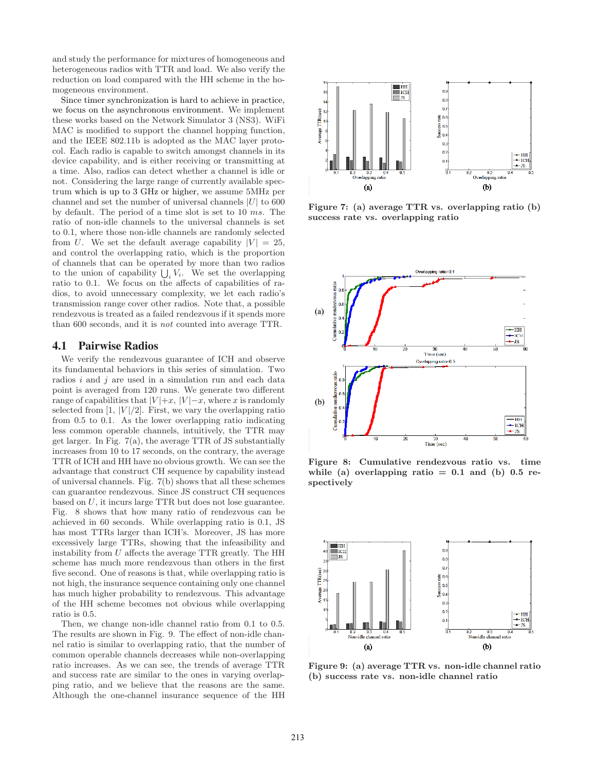and study the performance for mixtures of homogeneous and heterogeneous radios with TTR and load. We also verify the reduction on load compared with the HH scheme in the homogeneous environment.

Since timer synchronization is hard to achieve in practice, we focus on the asynchronous environment. We implement these works based on the Network Simulator 3 (NS3). WiFi MAC is modified to support the channel hopping function, and the IEEE 802.11b is adopted as the MAC layer protocol. Each radio is capable to switch amongst channels in its device capability, and is either receiving or transmitting at a time. Also, radios can detect whether a channel is idle or not. Considering the large range of currently available spectrum which is up to 3 GHz or higher, we assume 5MHz per channel and set the number of universal channels  $|U|$  to 600 by default. The period of a time slot is set to 10 ms. The ratio of non-idle channels to the universal channels is set to 0.1, where those non-idle channels are randomly selected from U. We set the default average capability  $|V| = 25$ , and control the overlapping ratio, which is the proportion of channels that can be operated by more than two radios to the union of capability  $\bigcup_i V_i$ . We set the overlapping ratio to 0.1. We focus on the affects of capabilities of radios, to avoid unnecessary complexity, we let each radio's transmission range cover other radios. Note that, a possible rendezvous is treated as a failed rendezvous if it spends more than 600 seconds, and it is *not* counted into average TTR.

#### **4.1 Pairwise Radios**

We verify the rendezvous guarantee of ICH and observe its fundamental behaviors in this series of simulation. Two radios  $i$  and  $j$  are used in a simulation run and each data point is averaged from 120 runs. We generate two different range of capabilities that  $|V|+x$ ,  $|V|-x$ , where x is randomly selected from  $[1, |V|/2]$ . First, we vary the overlapping ratio from 0.5 to 0.1. As the lower overlapping ratio indicating less common operable channels, intuitively, the TTR may get larger. In Fig. 7(a), the average TTR of JS substantially increases from 10 to 17 seconds, on the contrary, the average TTR of ICH and HH have no obvious growth. We can see the advantage that construct CH sequence by capability instead of universal channels. Fig. 7(b) shows that all these schemes can guarantee rendezvous. Since JS construct CH sequences based on U, it incurs large TTR but does not lose guarantee. Fig. 8 shows that how many ratio of rendezvous can be achieved in 60 seconds. While overlapping ratio is 0.1, JS has most TTRs larger than ICH's. Moreover, JS has more excessively large TTRs, showing that the infeasibility and instability from  $U$  affects the average TTR greatly. The HH scheme has much more rendezvous than others in the first five second. One of reasons is that, while overlapping ratio is not high, the insurance sequence containing only one channel has much higher probability to rendezvous. This advantage of the HH scheme becomes not obvious while overlapping ratio is 0.5.

Then, we change non-idle channel ratio from 0.1 to 0.5. The results are shown in Fig. 9. The effect of non-idle channel ratio is similar to overlapping ratio, that the number of common operable channels decreases while non-overlapping ratio increases. As we can see, the trends of average TTR and success rate are similar to the ones in varying overlapping ratio, and we believe that the reasons are the same. Although the one-channel insurance sequence of the HH



**Figure 7: (a) average TTR vs. overlapping ratio (b) success rate vs. overlapping ratio**



**Figure 8: Cumulative rendezvous ratio vs. time** while (a) overlapping ratio  $= 0.1$  and (b)  $0.5$  re**spectively**



**Figure 9: (a) average TTR vs. non-idle channel ratio (b) success rate vs. non-idle channel ratio**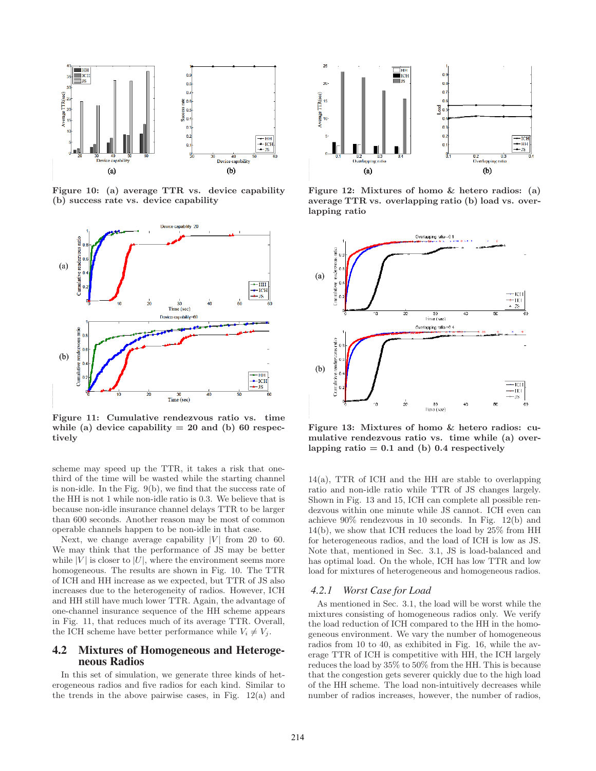

**Figure 10: (a) average TTR vs. device capability (b) success rate vs. device capability**



**Figure 11: Cumulative rendezvous ratio vs. time while (a) device capability = 20 and (b) 60 respectively**

scheme may speed up the TTR, it takes a risk that onethird of the time will be wasted while the starting channel is non-idle. In the Fig. 9(b), we find that the success rate of the HH is not 1 while non-idle ratio is 0.3. We believe that is because non-idle insurance channel delays TTR to be larger than 600 seconds. Another reason may be most of common operable channels happen to be non-idle in that case.

Next, we change average capability  $|V|$  from 20 to 60. We may think that the performance of JS may be better while  $|V|$  is closer to  $|U|$ , where the environment seems more homogeneous. The results are shown in Fig. 10. The TTR of ICH and HH increase as we expected, but TTR of JS also increases due to the heterogeneity of radios. However, ICH and HH still have much lower TTR. Again, the advantage of one-channel insurance sequence of the HH scheme appears in Fig. 11, that reduces much of its average TTR. Overall, the ICH scheme have better performance while  $V_i \neq V_j$ .

#### **4.2 Mixtures of Homogeneous and Heterogeneous Radios**

In this set of simulation, we generate three kinds of heterogeneous radios and five radios for each kind. Similar to the trends in the above pairwise cases, in Fig.  $12(a)$  and



**Figure 12: Mixtures of homo & hetero radios: (a) average TTR vs. overlapping ratio (b) load vs. overlapping ratio**



**Figure 13: Mixtures of homo & hetero radios: cumulative rendezvous ratio vs. time while (a) overlapping ratio = 0.1 and (b) 0.4 respectively**

14(a), TTR of ICH and the HH are stable to overlapping ratio and non-idle ratio while TTR of JS changes largely. Shown in Fig. 13 and 15, ICH can complete all possible rendezvous within one minute while JS cannot. ICH even can achieve 90% rendezvous in 10 seconds. In Fig. 12(b) and 14(b), we show that ICH reduces the load by 25% from HH for heterogeneous radios, and the load of ICH is low as JS. Note that, mentioned in Sec. 3.1, JS is load-balanced and has optimal load. On the whole, ICH has low TTR and low load for mixtures of heterogeneous and homogeneous radios.

## *4.2.1 Worst Case for Load*

As mentioned in Sec. 3.1, the load will be worst while the mixtures consisting of homogeneous radios only. We verify the load reduction of ICH compared to the HH in the homogeneous environment. We vary the number of homogeneous radios from 10 to 40, as exhibited in Fig. 16, while the average TTR of ICH is competitive with HH, the ICH largely reduces the load by 35% to 50% from the HH. This is because that the congestion gets severer quickly due to the high load of the HH scheme. The load non-intuitively decreases while number of radios increases, however, the number of radios,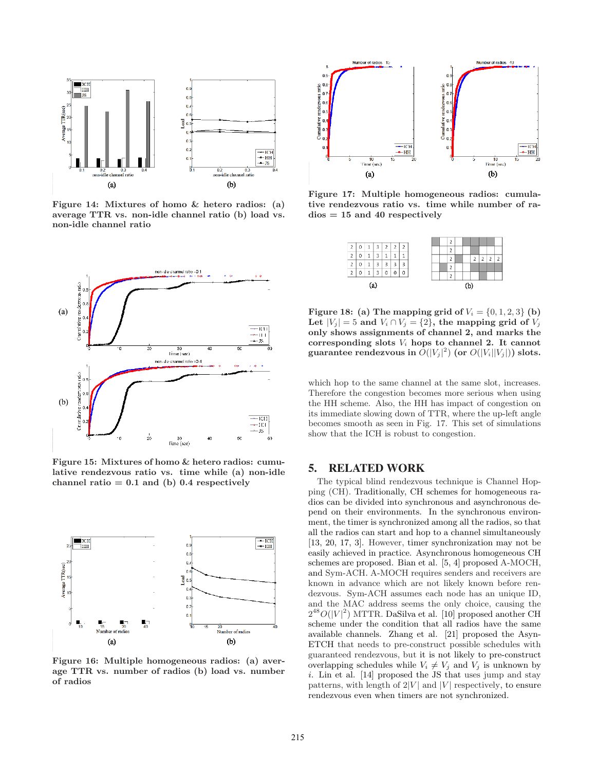

**Figure 14: Mixtures of homo & hetero radios: (a) average TTR vs. non-idle channel ratio (b) load vs. non-idle channel ratio**



**Figure 15: Mixtures of homo & hetero radios: cumulative rendezvous ratio vs. time while (a) non-idle channel ratio = 0.1 and (b) 0.4 respectively**



**Figure 16: Multiple homogeneous radios: (a) average TTR vs. number of radios (b) load vs. number of radios**



**Figure 17: Multiple homogeneous radios: cumulative rendezvous ratio vs. time while number of radios = 15 and 40 respectively**



**Figure 18:** (a) The mapping grid of  $V_i = \{0, 1, 2, 3\}$  (b) Let  $|V_i| = 5$  and  $V_i \cap V_j = \{2\}$ , the mapping grid of  $V_j$ **only shows assignments of channel 2, and marks the corresponding slots** V*<sup>i</sup>* **hops to channel 2. It cannot** guarantee rendezvous in  $\tilde{O}(|V_j|^2)$  (or  $O(|V_i||V_j|)$ ) slots.

which hop to the same channel at the same slot, increases. Therefore the congestion becomes more serious when using the HH scheme. Also, the HH has impact of congestion on its immediate slowing down of TTR, where the up-left angle becomes smooth as seen in Fig. 17. This set of simulations show that the ICH is robust to congestion.

## **5. RELATED WORK**

The typical blind rendezvous technique is Channel Hopping (CH). Traditionally, CH schemes for homogeneous radios can be divided into synchronous and asynchronous depend on their environments. In the synchronous environment, the timer is synchronized among all the radios, so that all the radios can start and hop to a channel simultaneously [13, 20, 17, 3]. However, timer synchronization may not be easily achieved in practice. Asynchronous homogeneous CH schemes are proposed. Bian et al. [5, 4] proposed A-MOCH, and Sym-ACH. A-MOCH requires senders and receivers are known in advance which are not likely known before rendezvous. Sym-ACH assumes each node has an unique ID, and the MAC address seems the only choice, causing the  $2^{48}O(|V|^2)$  MTTR. DaSilva et al. [10] proposed another CH scheme under the condition that all radios have the same available channels. Zhang et al. [21] proposed the Asyn-ETCH that needs to pre-construct possible schedules with guaranteed rendezvous, but it is not likely to pre-construct overlapping schedules while  $V_i \neq V_j$  and  $V_j$  is unknown by i. Lin et al. [14] proposed the JS that uses jump and stay patterns, with length of  $2|V|$  and  $|V|$  respectively, to ensure rendezvous even when timers are not synchronized.